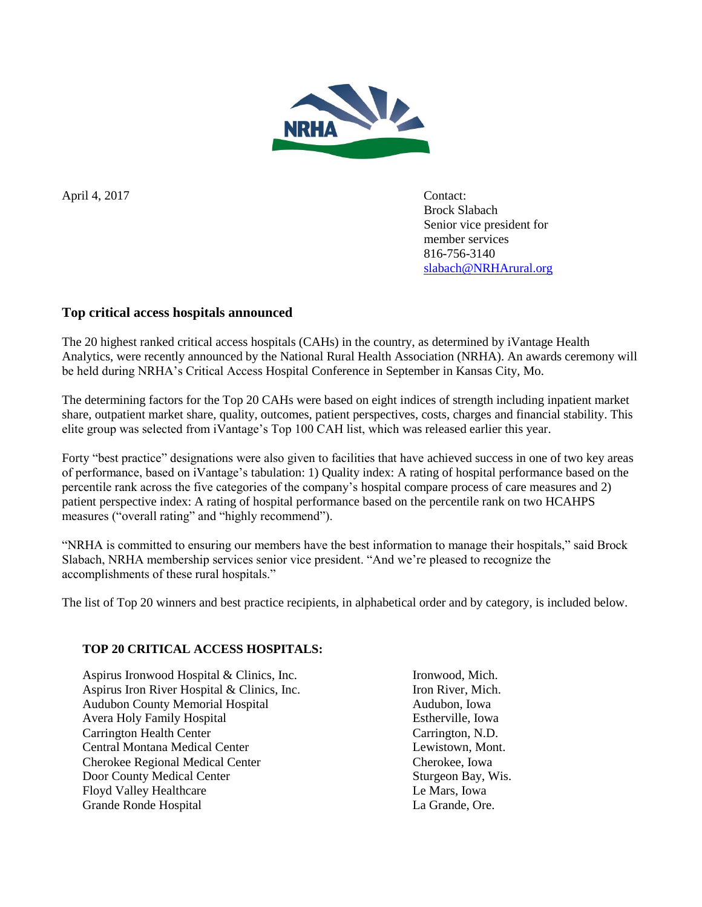

April 4, 2017 Contact:

Brock Slabach Senior vice president for member services 816-756-3140 [slabach@NRHArural.org](mailto:slabach@NRHArural.org)

# **Top critical access hospitals announced**

The 20 highest ranked critical access hospitals (CAHs) in the country, as determined by iVantage Health Analytics, were recently announced by the National Rural Health Association (NRHA). An awards ceremony will be held during NRHA's Critical Access Hospital Conference in September in Kansas City, Mo.

The determining factors for the Top 20 CAHs were based on eight indices of strength including inpatient market share, outpatient market share, quality, outcomes, patient perspectives, costs, charges and financial stability. This elite group was selected from iVantage's Top 100 CAH list, which was released earlier this year.

Forty "best practice" designations were also given to facilities that have achieved success in one of two key areas of performance, based on iVantage's tabulation: 1) Quality index: A rating of hospital performance based on the percentile rank across the five categories of the company's hospital compare process of care measures and 2) patient perspective index: A rating of hospital performance based on the percentile rank on two HCAHPS measures ("overall rating" and "highly recommend").

"NRHA is committed to ensuring our members have the best information to manage their hospitals," said Brock Slabach, NRHA membership services senior vice president. "And we're pleased to recognize the accomplishments of these rural hospitals."

The list of Top 20 winners and best practice recipients, in alphabetical order and by category, is included below.

# **TOP 20 CRITICAL ACCESS HOSPITALS:**

Aspirus Ironwood Hospital & Clinics, Inc. Ironwood, Mich. Aspirus Iron River Hospital & Clinics, Inc. Iron River, Mich. Audubon County Memorial Hospital Audubon, Iowa Avera Holy Family Hospital **Estherville**, Iowa Carrington Health Center Carrington, N.D. Central Montana Medical Center Lewistown, Mont. Cherokee Regional Medical Center Cherokee, Iowa Door County Medical Center Sturgeon Bay, Wis. Floyd Valley Healthcare Le Mars, Iowa Grande Ronde Hospital La Grande, Ore.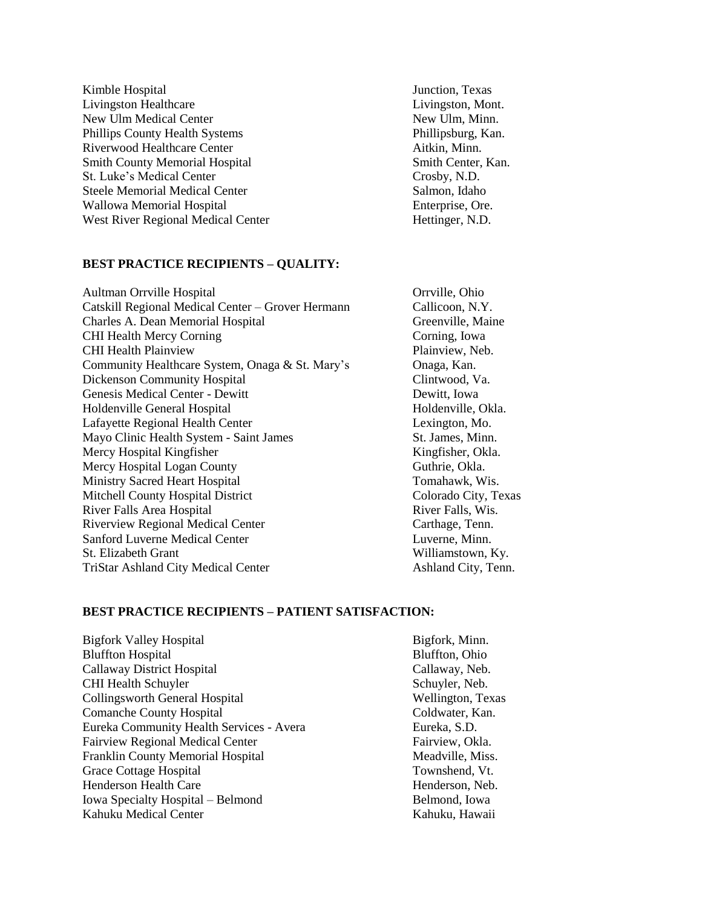Kimble Hospital **IV** and *Kimble Hospital* **Junction**, Texas Livingston Healthcare Livingston, Mont. New Ulm Medical Center New Ulm, Minn. Phillips County Health Systems Phillipsburg, Kan. Riverwood Healthcare Center Aitkin, Minn. Smith County Memorial Hospital Smith Center, Kan. St. Luke's Medical Center Crosby, N.D. Steele Memorial Medical Center Salmon, Idaho Wallowa Memorial Hospital **Enterprise**, Ore. West River Regional Medical Center Hettinger, N.D.

# **BEST PRACTICE RECIPIENTS – QUALITY:**

Aultman Orrville Hospital **Orrville, Ohio** Catskill Regional Medical Center – Grover Hermann Callicoon, N.Y. Charles A. Dean Memorial Hospital Greenville, Maine CHI Health Mercy Corning Corning Corning, Iowa CHI Health Plainview Plainview, Neb. Community Healthcare System, Onaga & St. Mary's Onaga, Kan. Dickenson Community Hospital Clintwood, Va. Genesis Medical Center - Dewitt Dewitt, Iowa Holdenville General Hospital **Holdenville**, Okla. Lafayette Regional Health Center Lexington, Mo. Mayo Clinic Health System - Saint James St. James, Minn. Mercy Hospital Kingfisher Kingfisher, Okla. Mercy Hospital Logan County Guthrie, Okla. Ministry Sacred Heart Hospital Tomahawk, Wis. Mitchell County Hospital District Colorado City, Texas River Falls Area Hospital River Falls, Wis. Riverview Regional Medical Center Carthage, Tenn. Sanford Luverne Medical Center **Luverne, Minn.** Luverne, Minn. St. Elizabeth Grant Williamstown, Ky. TriStar Ashland City Medical Center Ashland City, Tenn.

# **BEST PRACTICE RECIPIENTS – PATIENT SATISFACTION:**

| <b>Bigfork Valley Hospital</b>           |
|------------------------------------------|
| <b>Bluffton Hospital</b>                 |
| Callaway District Hospital               |
| <b>CHI Health Schuyler</b>               |
| Collingsworth General Hospital           |
| <b>Comanche County Hospital</b>          |
| Eureka Community Health Services - Avera |
| <b>Fairview Regional Medical Center</b>  |
| <b>Franklin County Memorial Hospital</b> |
| <b>Grace Cottage Hospital</b>            |
| <b>Henderson Health Care</b>             |
| Iowa Specialty Hospital - Belmond        |
| Kahuku Medical Center                    |

Bigfork, Minn. Bluffton, Ohio Callaway, Neb. Schuyler, Neb. Wellington, Texas Coldwater, Kan. Eureka, S.D. Fairview, Okla. Meadville, Miss. Townshend, Vt. Henderson, Neb. Belmond, Iowa Kahuku, Hawaii